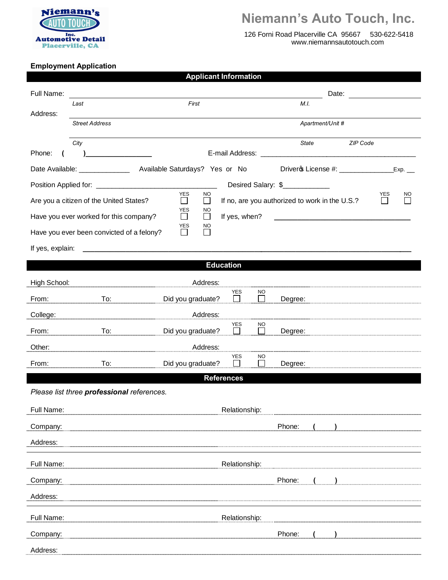

## **Niemann's Auto Touch, Inc.**

 126 Forni Road Placerville CA 95667 530-622-5418 www.niemannsautotouch.com

## **Employment Application**

|                  |                                                                                                                                                                                                                                      | Applicant information                                               |                                                |                                               |  |  |  |
|------------------|--------------------------------------------------------------------------------------------------------------------------------------------------------------------------------------------------------------------------------------|---------------------------------------------------------------------|------------------------------------------------|-----------------------------------------------|--|--|--|
| Full Name:       |                                                                                                                                                                                                                                      |                                                                     |                                                | Date:                                         |  |  |  |
| Address:         | Last                                                                                                                                                                                                                                 | First                                                               | M.I.                                           |                                               |  |  |  |
|                  | <b>Street Address</b>                                                                                                                                                                                                                |                                                                     | Apartment/Unit #                               |                                               |  |  |  |
|                  | City                                                                                                                                                                                                                                 |                                                                     | State                                          | ZIP Code                                      |  |  |  |
| Phone:           | <u> 1980 - Andrea Station Books and the Station Books and the Station Books and the Station Books and the Station Books and the Station Books and the Station Books and the Station Books and the Station Books and the Station </u> |                                                                     |                                                |                                               |  |  |  |
|                  |                                                                                                                                                                                                                                      |                                                                     |                                                | Drivero License #: ______________<br>Exp.     |  |  |  |
|                  |                                                                                                                                                                                                                                      |                                                                     | Desired Salary: \$                             |                                               |  |  |  |
|                  | Are you a citizen of the United States?                                                                                                                                                                                              | <b>YES</b><br><b>NO</b><br>$\Box$<br>$\perp$                        | If no, are you authorized to work in the U.S.? | YES<br><b>NO</b><br>H<br>L                    |  |  |  |
|                  | Have you ever worked for this company?                                                                                                                                                                                               | YES<br>NO<br>$\Box$<br>If yes, when?<br>$\mathcal{L}_{\mathcal{A}}$ |                                                | <u> 1980 - Andrea Andrew Maria (h. 1980).</u> |  |  |  |
|                  | Have you ever been convicted of a felony?                                                                                                                                                                                            | YES<br>NO.                                                          |                                                |                                               |  |  |  |
| If yes, explain: |                                                                                                                                                                                                                                      |                                                                     |                                                |                                               |  |  |  |
|                  |                                                                                                                                                                                                                                      | <b>Education</b>                                                    |                                                |                                               |  |  |  |
| High School:     |                                                                                                                                                                                                                                      | Address:                                                            |                                                |                                               |  |  |  |
|                  |                                                                                                                                                                                                                                      | <b>YES</b>                                                          | NO.<br>П                                       |                                               |  |  |  |
| From:            | To:                                                                                                                                                                                                                                  | Did you graduate?                                                   | Degree:                                        |                                               |  |  |  |
| College:         |                                                                                                                                                                                                                                      | Address:<br><b>YES</b>                                              | NO.                                            |                                               |  |  |  |
| From:            | To:                                                                                                                                                                                                                                  | Did you graduate?                                                   | $\mathbf{I}$<br>Degree:                        |                                               |  |  |  |
| Other:           |                                                                                                                                                                                                                                      | Address:<br>YES                                                     | <b>NO</b>                                      |                                               |  |  |  |
| From:            | To:                                                                                                                                                                                                                                  | Did you graduate?<br><b>Contract</b>                                | $\Box$<br>Degree:                              |                                               |  |  |  |
|                  |                                                                                                                                                                                                                                      | <b>References</b>                                                   |                                                |                                               |  |  |  |
|                  | Please list three professional references.                                                                                                                                                                                           |                                                                     |                                                |                                               |  |  |  |
| Full Name:       |                                                                                                                                                                                                                                      | Relationship:                                                       |                                                |                                               |  |  |  |
| Company:         |                                                                                                                                                                                                                                      |                                                                     | Phone:                                         |                                               |  |  |  |
| Address:         |                                                                                                                                                                                                                                      |                                                                     |                                                |                                               |  |  |  |
| Full Name:       |                                                                                                                                                                                                                                      | Relationship:                                                       |                                                |                                               |  |  |  |
| Company:         |                                                                                                                                                                                                                                      |                                                                     | Phone:                                         |                                               |  |  |  |
| Address:         |                                                                                                                                                                                                                                      |                                                                     |                                                |                                               |  |  |  |
|                  |                                                                                                                                                                                                                                      |                                                                     |                                                |                                               |  |  |  |
| Full Name:       |                                                                                                                                                                                                                                      | Relationship:                                                       |                                                |                                               |  |  |  |
| Company:         |                                                                                                                                                                                                                                      |                                                                     | Phone:                                         |                                               |  |  |  |
| Address:         |                                                                                                                                                                                                                                      |                                                                     |                                                |                                               |  |  |  |

**Applicant Information**